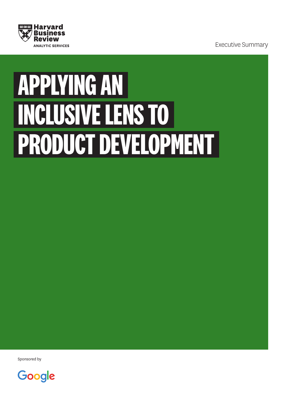

Executive Summary

# **APPLYING AN INCLUSIVE LENS TO PRODUCT DEVELOPMENT**

Sponsored by

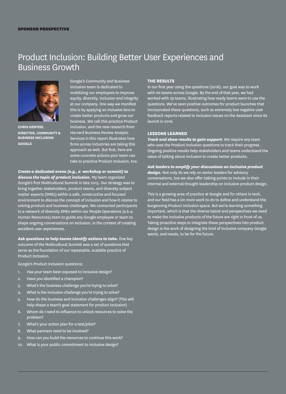#### SPONSOR PERSPECTIVE

## Product Inclusion: Building Better User Experiences and Business Growth



**CHRIS GENTEEL DIRECTOR, COMMUNITY & BUSINESS INCLUSION GOOGLE**

Google's Community and Business Inclusion team is dedicated to mobilizing our employees to improve equity, diversity, inclusion and integrity at our company. One way we manifest this is by applying an inclusive lens to create better products and grow our business. We call this practice Product Inclusion, and the new research from Harvard Business Review Analytic Services in this report illustrates how firms across industries are taking this approach as well. But first, here are some concrete actions your team can take to practice Product Inclusion, too.

## *Create a dedicated arena (e.g., a workshop or summit) to*

*discuss the topic of product inclusion.* My team organized Google's first Multicultural Summit in late 2015. Our strategy was to bring together stakeholders, product teams, and diversity subject matter experts (SMEs) within a safe, constructive and focused environment to discuss the concept of inclusion and how it relates to solving product and business challenges. We connected participants to a network of diversity SMEs within our People Operations (a.k.a. Human Resources) team to guide any Google employee or team to shape ongoing conversations on inclusion, in the context of creating excellent user experiences.

*Ask questions to help teams identify actions to take.* One key outcome of the Multicultural Summit was a set of questions that serve as the foundation of our repeatable, scalable practice of Product Inclusion.

Google's Product Inclusion questions:

- 1. Has your team been exposed to inclusive design?
- 2. Have you identified a champion?
- 3. What's the business challenge you're trying to solve?
- 4. What is the inclusion challenge you're trying to solve?
- 5. How do the business and inclusion challenges align? (This will help shape a team's goal statement for product inclusion)
- 6. Whom do I need to influence to unlock resources to solve the problem?
- 7. What's your action plan for a test/pilot?
- 8. What partners need to be involved?
- 9. How can you build the resources to continue this work?
- 10. What is your public commitment to inclusive design?

#### **THE RESULTS**

In our first year using the questions (2016), our goal was to work with six teams across Google. By the end of that year, we had worked with 29 teams, illustrating how ready teams were to use the questions. We've seen positive outcomes for product launches that incorporated these questions, such as extremely low negative use feedback reports related to inclusion issues on the Assistant since its launch in 2016.

#### **LESSONS LEARNED**

*Track and show results to gain support.* We require any team who uses the Product Inclusion questions to track their progress. Ongoing positive results help stakeholders and teams understand the value of talking about inclusion to create better products.

*Ask leaders to amplify your discussions on inclusive product design.* Not only do we rely on senior leaders for advisory conversations, but we also offer talking points to include in their internal and external thought leadership on inclusive product design.

This is a growing area of practice at Google and for others in tech, and our field has a lot more work to do to define and understand the burgeoning Product Inclusion space. But we're learning something important, which is that the diverse talent and perspectives we need to make the inclusive products of the future are right in front of us. Taking proactive steps to integrate these perspectives into product design is the work of designing the kind of inclusive company Google wants, and needs, to be for the future.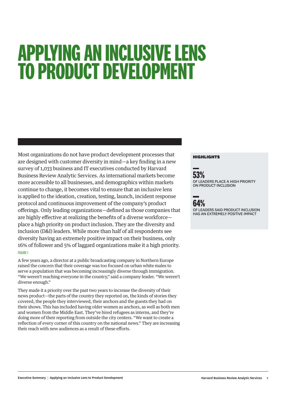## **APPLYING AN INCLUSIVE LENS TO PRODUCT DEVELOPMENT**

Most organizations do not have product development processes that are designed with customer diversity in mind—a key finding in a new survey of 1,033 business and IT executives conducted by Harvard Business Review Analytic Services. As international markets become more accessible to all businesses, and demographics within markets continue to change, it becomes vital to ensure that an inclusive lens is applied to the ideation, creation, testing, launch, incident response protocol and continuous improvement of the company's product offerings. Only leading organizations—defined as those companies that are highly effective at realizing the benefits of a diverse workforce place a high priority on product inclusion. They are the diversity and inclusion (D&I) leaders. While more than half of all respondents see diversity having an extremely positive impact on their business, only 16% of follower and 5% of laggard organizations make it a high priority. FIGURE 1

A few years ago, a director at a public broadcasting company in Northern Europe raised the concern that their coverage was too focused on urban white males to serve a population that was becoming increasingly diverse through immigration. "We weren't reaching everyone in the country," said a company leader. "We weren't diverse enough."

They made it a priority over the past two years to increase the diversity of their news product—the parts of the country they reported on, the kinds of stories they covered, the people they interviewed, their anchors and the guests they had on their shows. This has included having older women as anchors, as well as both men and women from the Middle East. They've hired refugees as interns, and they're doing more of their reporting from outside the city centers. "We want to create a reflection of every corner of this country on the national news." They are increasing their reach with new audiences as a result of these efforts.

#### HIGHLIGHTS





OF LEADERS SAID PRODUCT INCLUSION HAS AN EXTREMELY POSITIVE IMPACT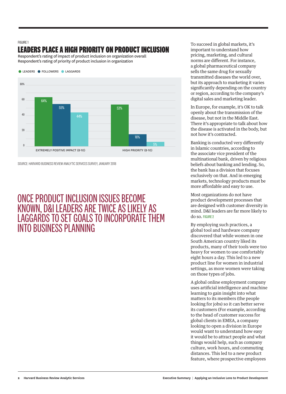#### FIGURE 1

## **LEADERS PLACE A HIGH PRIORITY ON PRODUCT INCLUSION**

Respondent's rating of impact of product inclusion on organization overall Respondent's rating of priority of product inclusion in organization



SOURCE: HARVARD BUSINESS REVIEW ANALYTIC SERVICES SURVEY, JANUARY 2018

## ONCE PRODUCT INCLUSION ISSUES BECOME KNOWN, D&I LEADERS ARE TWICE AS LIKELY AS LAGGARDS TO SET GOALS TO INCORPORATE THEM INTO BUSINESS PLANNING

To succeed in global markets, it's important to understand how pricing, marketing, and cultural norms are different. For instance, a global pharmaceutical company sells the same drug for sexually transmitted diseases the world over, but its approach to marketing it varies significantly depending on the country or region, according to the company's digital sales and marketing leader.

In Europe, for example, it's OK to talk openly about the transmission of the disease, but not in the Middle East. There it's appropriate to talk about how the disease is activated in the body, but not how it's contracted.

Banking is conducted very differently in Islamic countries, according to the associate vice president of the multinational bank, driven by religious beliefs about banking and lending. So, the bank has a division that focuses exclusively on that. And in emerging markets, technology products must be more affordable and easy to use.

Most organizations do not have product development processes that are designed with customer diversity in mind. D&I leaders are far more likely to do so. FIGURE 2

By employing such practices, a global tool and hardware company discovered that while women in one South American country liked its products, many of their tools were too heavy for women to use comfortably eight hours a day. This led to a new product line for women in industrial settings, as more women were taking on those types of jobs.

A global online employment company uses artificial intelligence and machine learning to gain insight into what matters to its members (the people looking for jobs) so it can better serve its customers (For example, according to the head of customer success for global clients in EMEA, a company looking to open a division in Europe would want to understand how easy it would be to attract people and what things would help, such as company culture, work hours, and commuting distances. This led to a new product feature, where prospective employees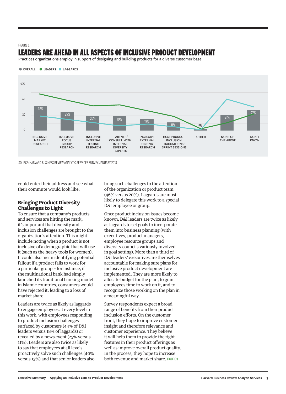## FIGURE 2 **LEADERS ARE AHEAD IN ALL ASPECTS OF INCLUSIVE PRODUCT DEVELOPMENT**

Practices organizations employ in support of designing and building products for a diverse customer base



SOURCE: HARVARD BUSINESS REVIEW ANALYTIC SERVICES SURVEY, JANUARY 2018

could enter their address and see what their commute would look like.

### **Bringing Product Diversity Challenges to Light**

To ensure that a company's products and services are hitting the mark, it's important that diversity and inclusion challenges are brought to the organization's attention. This might include noting when a product is not inclusive of a demographic that will use it (such as the heavy tools for women). It could also mean identifying potential fallout if a product fails to work for a particular group – for instance, if the multinational bank had simply launched its traditional banking model in Islamic countries, consumers would have rejected it, leading to a loss of market share.

Leaders are twice as likely as laggards to engage employees at every level in this work, with employees responding to product inclusion challenges surfaced by customers (44% of D&I leaders versus 18% of laggards) or revealed by a news event (25% versus 11%). Leaders are also twice as likely to say that employees at all levels proactively solve such challenges (40% versus 13%) and that senior leaders also bring such challenges to the attention of the organization or product team (46% versus 20%). Laggards are most likely to delegate this work to a special D&I employee or group.

Once product inclusion issues become known, D&I leaders are twice as likely as laggards to set goals to incorporate them into business planning (with executives, product managers, employee resource groups and diversity councils variously involved in goal setting). More than a third of D&I leaders' executives are themselves accountable for making sure plans for inclusive product development are implemented. They are more likely to allocate budget for the plan, to grant employees time to work on it, and to recognize those working on the plan in a meaningful way.

Survey respondents expect a broad range of benefits from their product inclusion efforts. On the customer front, they hope to improve customer insight and therefore relevance and customer experience. They believe it will help them to provide the right features in their product offerings as well as improve overall product quality. In the process, they hope to increase both revenue and market share. FIGURE 3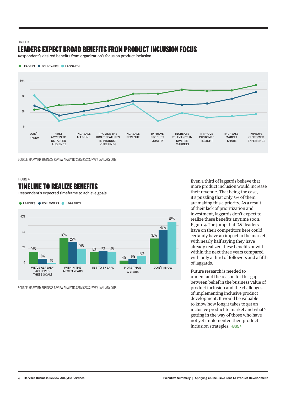#### FIGURE 3

## **LEADERS EXPECT BROAD BENEFITS FROM PRODUCT INCLUSION FOCUS**

Respondent's desired benefits from organization's focus on product inclusion



SOURCE: HARVARD BUSINESS REVIEW ANALYTIC SERVICES SURVEY, JANUARY 2018

## FIGURE 4

## **TIMELINE TO REALIZE BENEFITS**

Respondent's expected timeframe to achieve goals

**• LEADERS • FOLLOWERS • LAGGARDS** 



SOURCE: HARVARD BUSINESS REVIEW ANALYTIC SERVICES SURVEY, JANUARY 2018

Even a third of laggards believe that more product inclusion would increase their revenue. That being the case, it's puzzling that only 5% of them are making this a priority. As a result of their lack of prioritization and investment, laggards don't expect to realize these benefits anytime soon. Figure 4 The jump that D&I leaders have on their competitors here could certainly have an impact in the market, with nearly half saying they have already realized these benefits or will within the next three years compared with only a third of followers and a fifth of laggards.

Future research is needed to understand the reason for this gap between belief in the business value of product inclusion and the challenges of implementing inclusive product development. It would be valuable to know how long it takes to get an inclusive product to market and what's getting in the way of those who have not yet implemented their product inclusion strategies. FIGURE 4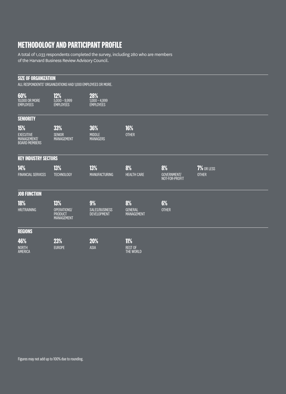## **METHODOLOGY AND PARTICIPANT PROFILE**

A total of 1,033 respondents completed the survey, including 280 who are members of the Harvard Business Review Advisory Council.

| <b>SIZE OF ORGANIZATION</b><br>ALL RESPONDENTS' ORGANIZATIONS HAD 1,000 EMPLOYEES OR MORE. |                                                           |                                            |                                           |                                            |                            |
|--------------------------------------------------------------------------------------------|-----------------------------------------------------------|--------------------------------------------|-------------------------------------------|--------------------------------------------|----------------------------|
| 60%<br>10,000 OR MORE<br><b>EMPLOYEES</b>                                                  | 12%<br>$5,000 - 9,999$<br><b>EMPLOYEES</b>                | 28%<br>1,000 - 4,999<br>EMPLOYEES          |                                           |                                            |                            |
| <b>SENIORITY</b>                                                                           |                                                           |                                            |                                           |                                            |                            |
| 15%<br><b>EXECUTIVE</b><br>MANAGEMENT/<br><b>BOARD MEMBERS</b>                             | 33%<br><b>SENIOR</b><br><b>MANAGEMENT</b>                 | 36%<br><b>MIDDLE</b><br><b>MANAGERS</b>    | 16%<br><b>OTHER</b>                       |                                            |                            |
| <b>KEY INDUSTRY SECTORS</b>                                                                |                                                           |                                            |                                           |                                            |                            |
| 14%<br><b>FINANCIAL SERVICES</b>                                                           | 13%<br><b>TECHNOLOGY</b>                                  | 13%<br><b>MANUFACTURING</b>                | 8%<br><b>HEALTH CARE</b>                  | 8%<br><b>GOVERNMENT/</b><br>NOT-FOR-PROFIT | 7% OR LESS<br><b>OTHER</b> |
| <b>JOB FUNCTION</b>                                                                        |                                                           |                                            |                                           |                                            |                            |
| 18%<br><b>HR/TRAINING</b>                                                                  | 13%<br>OPERATIONS/<br><b>PRODUCT</b><br><b>MANAGEMENT</b> | 9%<br>SALES/BUSINESS<br><b>DEVELOPMENT</b> | 8%<br><b>GENERAL</b><br>MANAGEMENT        | 6%<br><b>OTHER</b>                         |                            |
| <b>REGIONS</b>                                                                             |                                                           |                                            |                                           |                                            |                            |
| 46%<br><b>NORTH</b><br>AMERICA                                                             | 23%<br><b>EUROPE</b>                                      | 20%<br>ASIA                                | <b>11%</b><br><b>REST OF</b><br>THE WORLD |                                            |                            |